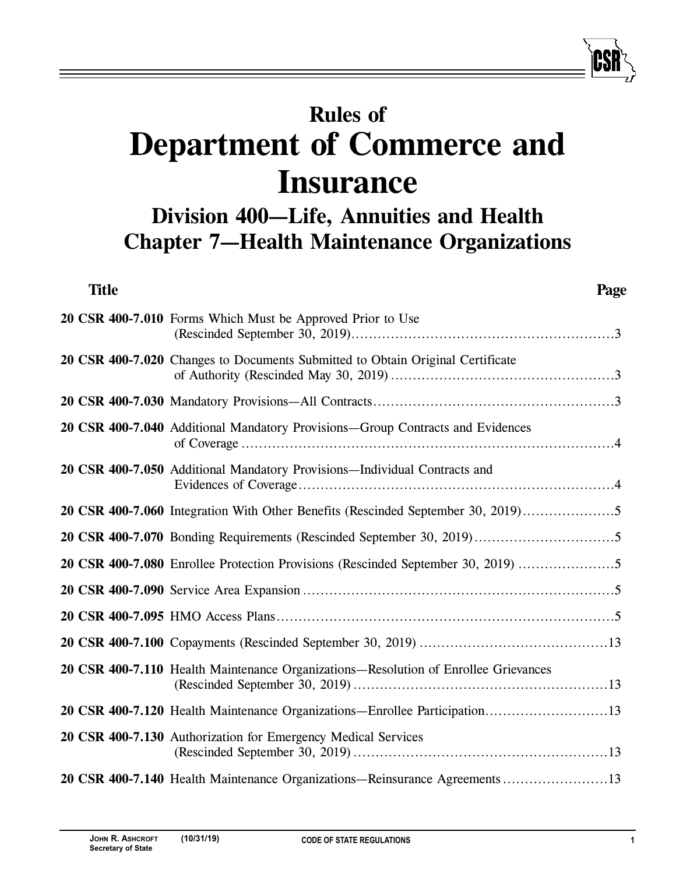# **Rules of Department of Commerce and Insurance**

# **Division 400—Life, Annuities and Health Chapter 7—Health Maintenance Organizations**

| <b>Title</b> | Page                                                                                |
|--------------|-------------------------------------------------------------------------------------|
|              | 20 CSR 400-7.010 Forms Which Must be Approved Prior to Use                          |
|              | 20 CSR 400-7.020 Changes to Documents Submitted to Obtain Original Certificate      |
|              |                                                                                     |
|              | 20 CSR 400-7.040 Additional Mandatory Provisions-Group Contracts and Evidences      |
|              | 20 CSR 400-7.050 Additional Mandatory Provisions-Individual Contracts and           |
|              | 20 CSR 400-7.060 Integration With Other Benefits (Rescinded September 30, 2019)     |
|              |                                                                                     |
|              | 20 CSR 400-7.080 Enrollee Protection Provisions (Rescinded September 30, 2019)      |
|              |                                                                                     |
|              |                                                                                     |
|              |                                                                                     |
|              | 20 CSR 400-7.110 Health Maintenance Organizations—Resolution of Enrollee Grievances |
|              | 20 CSR 400-7.120 Health Maintenance Organizations-Enrollee Participation13          |
|              | 20 CSR 400-7.130 Authorization for Emergency Medical Services                       |
|              | 20 CSR 400-7.140 Health Maintenance Organizations—Reinsurance Agreements 13         |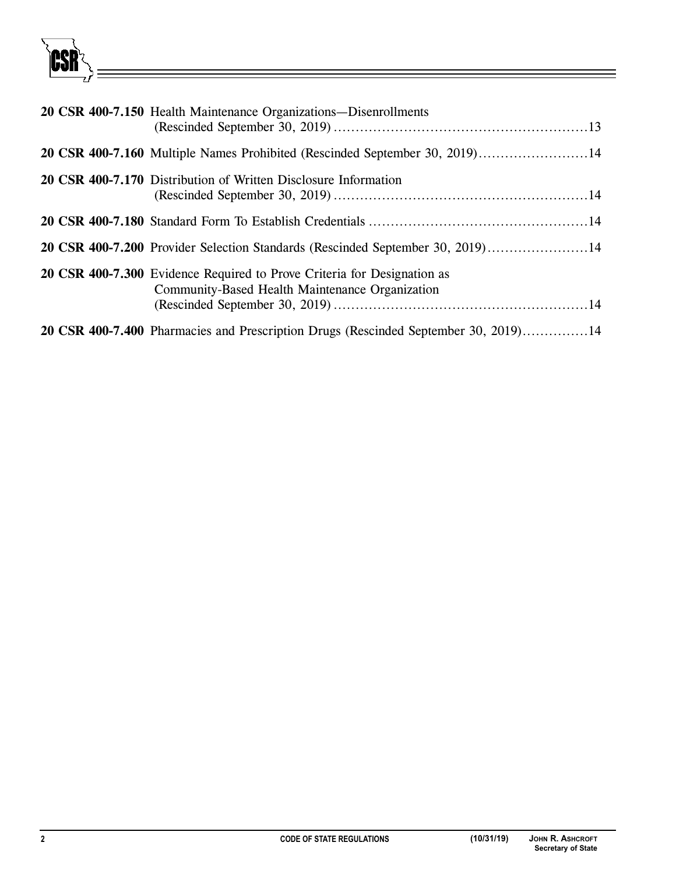

| 20 CSR 400-7.150 Health Maintenance Organizations—Disenrollments                                                           |
|----------------------------------------------------------------------------------------------------------------------------|
| 20 CSR 400-7.160 Multiple Names Prohibited (Rescinded September 30, 2019)14                                                |
| 20 CSR 400-7.170 Distribution of Written Disclosure Information                                                            |
|                                                                                                                            |
| 20 CSR 400-7.200 Provider Selection Standards (Rescinded September 30, 2019)14                                             |
| 20 CSR 400-7.300 Evidence Required to Prove Criteria for Designation as<br>Community-Based Health Maintenance Organization |
| 20 CSR 400-7.400 Pharmacies and Prescription Drugs (Rescinded September 30, 2019)14                                        |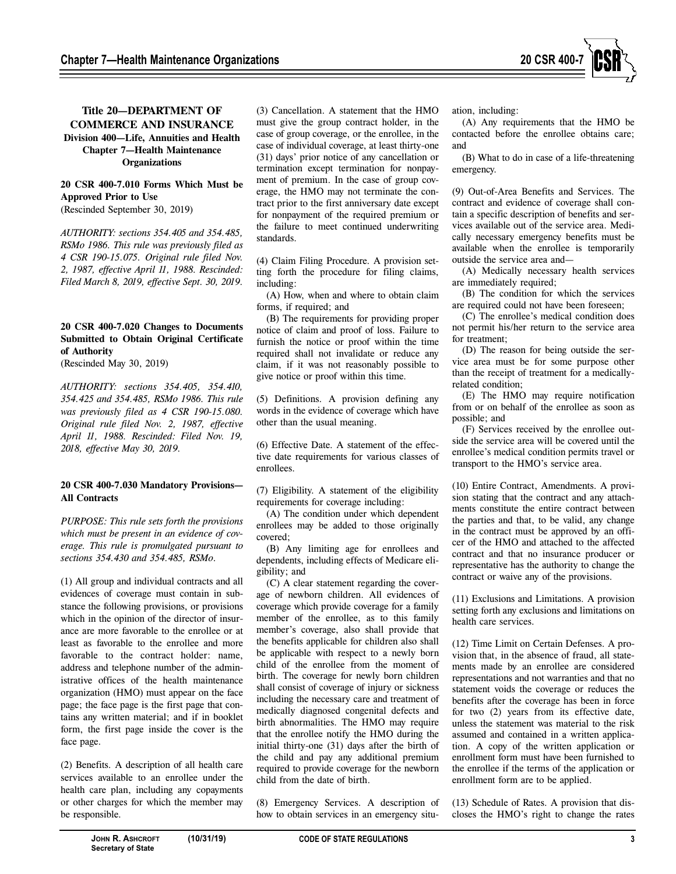

# **Title 20—DEPARTMENT OF COMMERCE AND INSURANCE Division 400—Life, Annuities and Health Chapter 7—Health Maintenance Organizations**

# **20 CSR 400-7.010 Forms Which Must be Approved Prior to Use**

(Rescinded September 30, 2019)

*AUTHORITY: sections 354.405 and 354.485, RSMo 1986. This rule was previously filed as 4 CSR 190-15.075. Original rule filed Nov. 2, 1987, effective April 11, 1988. Rescinded: Filed March 8, 2019, effective Sept. 30, 2019.* 

## **20 CSR 400-7.020 Changes to Documents Submitted to Obtain Original Certificate of Authority**

(Rescinded May 30, 2019)

*AUTHORITY: sections 354.405, 354.410, 354.425 and 354.485, RSMo 1986. This rule was previously filed as 4 CSR 190-15.080. Original rule filed Nov. 2, 1987, effective April 11, 1988. Rescinded: Filed Nov. 19, 2018, effective May 30, 2019.* 

#### **20 CSR 400-7.030 Mandatory Provisions— All Contracts**

*PURPOSE: This rule sets forth the provisions which must be present in an evidence of coverage. This rule is promulgated pursuant to sections 354.430 and 354.485, RSMo.*

(1) All group and individual contracts and all evidences of coverage must contain in substance the following provisions, or provisions which in the opinion of the director of insurance are more favorable to the enrollee or at least as favorable to the enrollee and more favorable to the contract holder: name, address and telephone number of the administrative offices of the health maintenance organization (HMO) must appear on the face page; the face page is the first page that contains any written material; and if in booklet form, the first page inside the cover is the face page.

(2) Benefits. A description of all health care services available to an enrollee under the health care plan, including any copayments or other charges for which the member may be responsible.

(3) Cancellation. A statement that the HMO must give the group contract holder, in the case of group coverage, or the enrollee, in the case of individual coverage, at least thirty-one (31) days' prior notice of any cancellation or termination except termination for nonpayment of premium. In the case of group coverage, the HMO may not terminate the contract prior to the first anniversary date except for nonpayment of the required premium or the failure to meet continued underwriting standards.

(4) Claim Filing Procedure. A provision setting forth the procedure for filing claims, including:

(A) How, when and where to obtain claim forms, if required; and

(B) The requirements for providing proper notice of claim and proof of loss. Failure to furnish the notice or proof within the time required shall not invalidate or reduce any claim, if it was not reasonably possible to give notice or proof within this time.

(5) Definitions. A provision defining any words in the evidence of coverage which have other than the usual meaning.

(6) Effective Date. A statement of the effective date requirements for various classes of enrollees.

(7) Eligibility. A statement of the eligibility requirements for coverage including:

(A) The condition under which dependent enrollees may be added to those originally covered;

(B) Any limiting age for enrollees and dependents, including effects of Medicare eligibility; and

(C) A clear statement regarding the coverage of newborn children. All evidences of coverage which provide coverage for a family member of the enrollee, as to this family member's coverage, also shall provide that the benefits applicable for children also shall be applicable with respect to a newly born child of the enrollee from the moment of birth. The coverage for newly born children shall consist of coverage of injury or sickness including the necessary care and treatment of medically diagnosed congenital defects and birth abnormalities. The HMO may require that the enrollee notify the HMO during the initial thirty-one (31) days after the birth of the child and pay any additional premium required to provide coverage for the newborn child from the date of birth.

(8) Emergency Services. A description of how to obtain services in an emergency situation, including:

(A) Any requirements that the HMO be contacted before the enrollee obtains care; and

(B) What to do in case of a life-threatening emergency.

(9) Out-of-Area Benefits and Services. The contract and evidence of coverage shall contain a specific description of benefits and services available out of the service area. Medically necessary emergency benefits must be available when the enrollee is temporarily outside the service area and—

(A) Medically necessary health services are immediately required;

(B) The condition for which the services are required could not have been foreseen;

(C) The enrollee's medical condition does not permit his/her return to the service area for treatment;

(D) The reason for being outside the service area must be for some purpose other than the receipt of treatment for a medicallyrelated condition;

(E) The HMO may require notification from or on behalf of the enrollee as soon as possible; and

(F) Services received by the enrollee outside the service area will be covered until the enrollee's medical condition permits travel or transport to the HMO's service area.

(10) Entire Contract, Amendments. A provision stating that the contract and any attachments constitute the entire contract between the parties and that, to be valid, any change in the contract must be approved by an officer of the HMO and attached to the affected contract and that no insurance producer or representative has the authority to change the contract or waive any of the provisions.

(11) Exclusions and Limitations. A provision setting forth any exclusions and limitations on health care services.

(12) Time Limit on Certain Defenses. A provision that, in the absence of fraud, all statements made by an enrollee are considered representations and not warranties and that no statement voids the coverage or reduces the benefits after the coverage has been in force for two (2) years from its effective date, unless the statement was material to the risk assumed and contained in a written application. A copy of the written application or enrollment form must have been furnished to the enrollee if the terms of the application or enrollment form are to be applied.

(13) Schedule of Rates. A provision that discloses the HMO's right to change the rates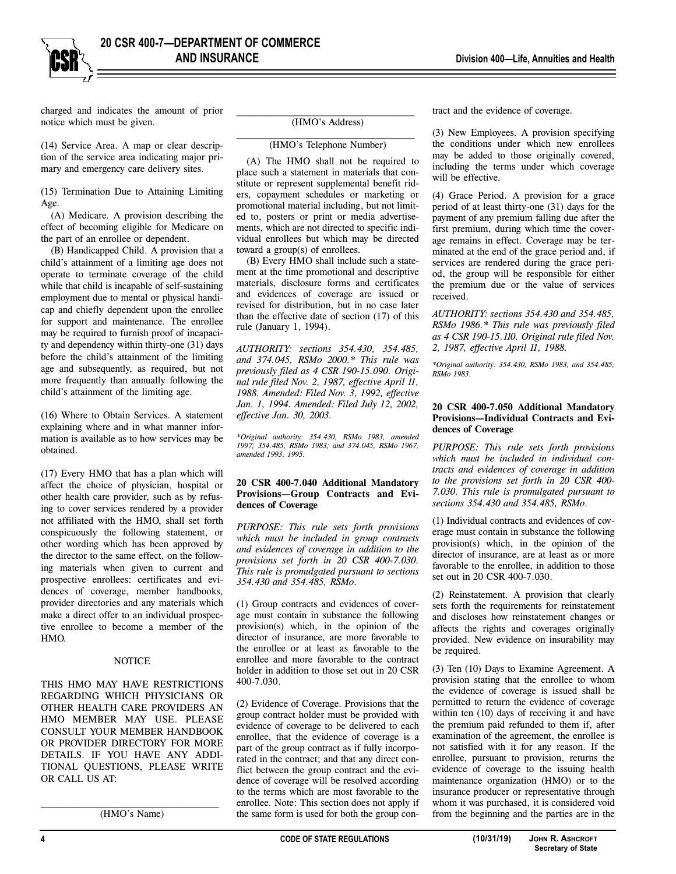charged and indicates the amount of prior notice which must be given.

(14) Service Area. A map or clear description of the service area indicating major primary and emergency care delivery sites.

(15) Termination Due to Attaining Limiting Age.

(A) Medicare. A provision describing the effect of becoming eligible for Medicare on the part of an enrollee or dependent.

(B) Handicapped Child. A provision that a child's attainment of a limiting age does not operate to terminate coverage of the child while that child is incapable of self-sustaining employment due to mental or physical handicap and chiefly dependent upon the enrollee for support and maintenance. The enrollee may be required to furnish proof of incapacity and dependency within thirty-one (31) days before the child's attainment of the limiting age and subsequently, as required, but not more frequently than annually following the child's attainment of the limiting age.

(16) Where to Obtain Services. A statement explaining where and in what manner information is available as to how services may be obtained.

(17) Every HMO that has a plan which will affect the choice of physician, hospital or other health care provider, such as by refusing to cover services rendered by a provider not affiliated with the HMO, shall set forth conspicuously the following statement, or other wording which has been approved by the director to the same effect, on the following materials when given to current and prospective enrollees: certificates and evidences of coverage, member handbooks, provider directories and any materials which make a direct offer to an individual prospective enrollee to become a member of the HMO.

#### **NOTICE**

THIS HMO MAY HAVE RESTRICTIONS REGARDING WHICH PHYSICIANS OR OTHER HEALTH CARE PROVIDERS AN HMO MEMBER MAY USE. PLEASE CONSULT YOUR MEMBER HANDBOOK OR PROVIDER DIRECTORY FOR MORE DETAILS. IF YOU HAVE ANY ADDI-TIONAL QUESTIONS, PLEASE WRITE OR CALL US AT:

 $\frac{1}{2}$  , and the set of the set of the set of the set of the set of the set of the set of the set of the set of the set of the set of the set of the set of the set of the set of the set of the set of the set of the set (HMO's Name)

#### (HMO's Address)

#### $\frac{1}{2}$  , and the set of the set of the set of the set of the set of the set of the set of the set of the set of the set of the set of the set of the set of the set of the set of the set of the set of the set of the set (HMO's Telephone Number)

(A) The HMO shall not be required to place such a statement in materials that constitute or represent supplemental benefit riders, copayment schedules or marketing or promotional material including, but not limited to, posters or print or media advertisements, which are not directed to specific individual enrollees but which may be directed toward a group(s) of enrollees.

(B) Every HMO shall include such a statement at the time promotional and descriptive materials, disclosure forms and certificates and evidences of coverage are issued or revised for distribution, but in no case later than the effective date of section (17) of this rule (January 1, 1994).

*AUTHORITY: sections 354.430, 354.485, and 374.045, RSMo 2000.\* This rule was previously filed as 4 CSR 190-15.090. Original rule filed Nov. 2, 1987, effective April 11, 1988. Amended: Filed Nov. 3, 1992, effective Jan. 1, 1994. Amended: Filed July 12, 2002, effective Jan. 30, 2003.* 

*\*Original authority: 354.430, RSMo 1983, amended 1997; 354.485, RSMo 1983; and 374.045, RSMo 1967, amended 1993, 1995.* 

#### **20 CSR 400-7.040 Additional Mandatory Provisions—Group Contracts and Evidences of Coverage**

*PURPOSE: This rule sets forth provisions which must be included in group contracts and evidences of coverage in addition to the provisions set forth in 20 CSR 400-7.030. This rule is promulgated pursuant to sections 354.430 and 354.485, RSMo.* 

(1) Group contracts and evidences of coverage must contain in substance the following provision(s) which, in the opinion of the director of insurance, are more favorable to the enrollee or at least as favorable to the enrollee and more favorable to the contract holder in addition to those set out in 20 CSR 400-7.030.

(2) Evidence of Coverage. Provisions that the group contract holder must be provided with evidence of coverage to be delivered to each enrollee, that the evidence of coverage is a part of the group contract as if fully incorporated in the contract; and that any direct conflict between the group contract and the evidence of coverage will be resolved according to the terms which are most favorable to the enrollee. Note: This section does not apply if the same form is used for both the group contract and the evidence of coverage.

(3) New Employees. A provision specifying the conditions under which new enrollees may be added to those originally covered, including the terms under which coverage will be effective.

(4) Grace Period. A provision for a grace period of at least thirty-one (31) days for the payment of any premium falling due after the first premium, during which time the coverage remains in effect. Coverage may be terminated at the end of the grace period and, if services are rendered during the grace period, the group will be responsible for either the premium due or the value of services received.

*AUTHORITY: sections 354.430 and 354.485, RSMo 1986.\* This rule was previously filed as 4 CSR 190-15.110. Original rule filed Nov. 2, 1987, effective April 11, 1988.* 

*\*Original authority: 354.430, RSMo 1983, and 354.485, RSMo 1983.* 

#### **20 CSR 400-7.050 Additional Mandatory Provisions—Individual Contracts and Evidences of Coverage**

*PURPOSE: This rule sets forth provisions which must be included in individual contracts and evidences of coverage in addition to the provisions set forth in 20 CSR 400- 7.030. This rule is promulgated pursuant to sections 354.430 and 354.485, RSMo.* 

(1) Individual contracts and evidences of coverage must contain in substance the following provision(s) which, in the opinion of the director of insurance, are at least as or more favorable to the enrollee, in addition to those set out in 20 CSR 400-7.030.

(2) Reinstatement. A provision that clearly sets forth the requirements for reinstatement and discloses how reinstatement changes or affects the rights and coverages originally provided. New evidence on insurability may be required.

(3) Ten (10) Days to Examine Agreement. A provision stating that the enrollee to whom the evidence of coverage is issued shall be permitted to return the evidence of coverage within ten (10) days of receiving it and have the premium paid refunded to them if, after examination of the agreement, the enrollee is not satisfied with it for any reason. If the enrollee, pursuant to provision, returns the evidence of coverage to the issuing health maintenance organization (HMO) or to the insurance producer or representative through whom it was purchased, it is considered void from the beginning and the parties are in the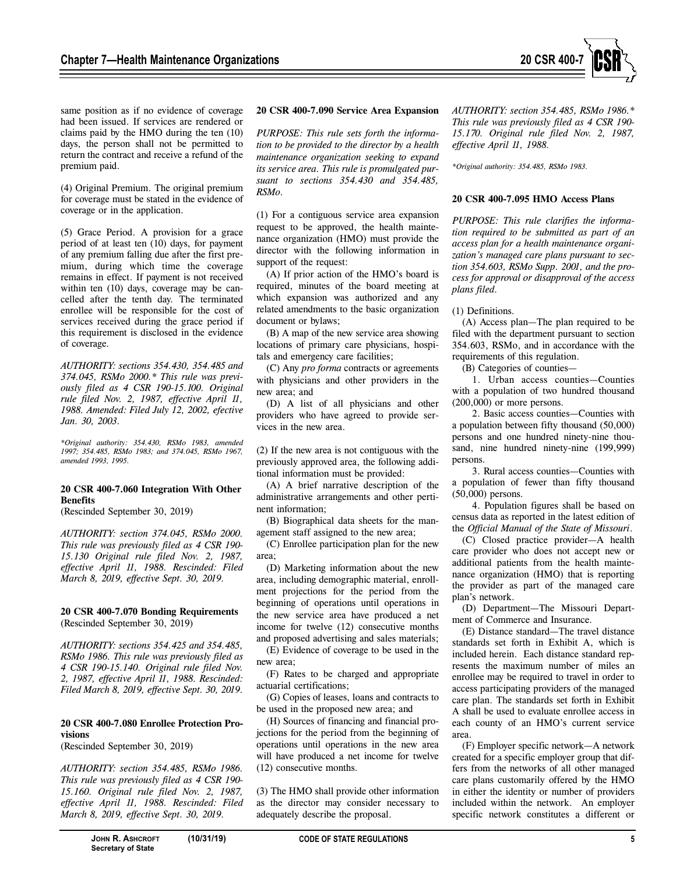

same position as if no evidence of coverage had been issued. If services are rendered or claims paid by the HMO during the ten (10) days, the person shall not be permitted to return the contract and receive a refund of the premium paid.

(4) Original Premium. The original premium for coverage must be stated in the evidence of coverage or in the application.

(5) Grace Period. A provision for a grace period of at least ten (10) days, for payment of any premium falling due after the first premium, during which time the coverage remains in effect. If payment is not received within ten (10) days, coverage may be cancelled after the tenth day. The terminated enrollee will be responsible for the cost of services received during the grace period if this requirement is disclosed in the evidence of coverage.

*AUTHORITY: sections 354.430, 354.485 and 374.045, RSMo 2000.\* This rule was previously filed as 4 CSR 190-15.100. Original rule filed Nov. 2, 1987, effective April 11, 1988. Amended: Filed July 12, 2002, efective Jan. 30, 2003.* 

*\*Original authority: 354.430, RSMo 1983, amended 1997; 354.485, RSMo 1983; and 374.045, RSMo 1967, amended 1993, 1995.* 

#### **20 CSR 400-7.060 Integration With Other Benefits**

(Rescinded September 30, 2019)

*AUTHORITY: section 374.045, RSMo 2000. This rule was previously filed as 4 CSR 190- 15.130 Original rule filed Nov. 2, 1987, effective April 11, 1988. Rescinded: Filed March 8, 2019, effective Sept. 30, 2019.* 

**20 CSR 400-7.070 Bonding Requirements**  (Rescinded September 30, 2019)

*AUTHORITY: sections 354.425 and 354.485, RSMo 1986. This rule was previously filed as 4 CSR 190-15.140. Original rule filed Nov. 2, 1987, effective April 11, 1988. Rescinded: Filed March 8, 2019, effective Sept. 30, 2019.* 

#### **20 CSR 400-7.080 Enrollee Protection Provisions**

(Rescinded September 30, 2019)

*AUTHORITY: section 354.485, RSMo 1986. This rule was previously filed as 4 CSR 190- 15.160. Original rule filed Nov. 2, 1987, effective April 11, 1988. Rescinded: Filed March 8, 2019, effective Sept. 30, 2019.* 

#### **20 CSR 400-7.090 Service Area Expansion**

*PURPOSE: This rule sets forth the information to be provided to the director by a health maintenance organization seeking to expand its service area. This rule is promulgated pursuant to sections 354.430 and 354.485, RSMo.* 

(1) For a contiguous service area expansion request to be approved, the health maintenance organization (HMO) must provide the director with the following information in support of the request:

(A) If prior action of the HMO's board is required, minutes of the board meeting at which expansion was authorized and any related amendments to the basic organization document or bylaws;

(B) A map of the new service area showing locations of primary care physicians, hospitals and emergency care facilities;

(C) Any *pro forma* contracts or agreements with physicians and other providers in the new area; and

(D) A list of all physicians and other providers who have agreed to provide services in the new area.

(2) If the new area is not contiguous with the previously approved area, the following additional information must be provided:

(A) A brief narrative description of the administrative arrangements and other pertinent information;

(B) Biographical data sheets for the management staff assigned to the new area;

(C) Enrollee participation plan for the new area;

(D) Marketing information about the new area, including demographic material, enrollment projections for the period from the beginning of operations until operations in the new service area have produced a net income for twelve (12) consecutive months and proposed advertising and sales materials;

(E) Evidence of coverage to be used in the new area;

(F) Rates to be charged and appropriate actuarial certifications;

(G) Copies of leases, loans and contracts to be used in the proposed new area; and

(H) Sources of financing and financial projections for the period from the beginning of operations until operations in the new area will have produced a net income for twelve (12) consecutive months.

(3) The HMO shall provide other information as the director may consider necessary to adequately describe the proposal.

*AUTHORITY: section 354.485, RSMo 1986.\* This rule was previously filed as 4 CSR 190- 15.170. Original rule filed Nov. 2, 1987, effective April 11, 1988.* 

*\*Original authority: 354.485, RSMo 1983.* 

#### **20 CSR 400-7.095 HMO Access Plans**

*PURPOSE: This rule clarifies the information required to be submitted as part of an access plan for a health maintenance organization's managed care plans pursuant to section 354.603, RSMo Supp. 2001, and the process for approval or disapproval of the access plans filed.* 

(1) Definitions.

(A) Access plan—The plan required to be filed with the department pursuant to section 354.603, RSMo, and in accordance with the requirements of this regulation.

(B) Categories of counties—

1. Urban access counties—Counties with a population of two hundred thousand (200,000) or more persons.

2. Basic access counties—Counties with a population between fifty thousand (50,000) persons and one hundred ninety-nine thousand, nine hundred ninety-nine (199,999) persons.

3. Rural access counties—Counties with a population of fewer than fifty thousand (50,000) persons.

4. Population figures shall be based on census data as reported in the latest edition of the *Official Manual of the State of Missouri*.

(C) Closed practice provider—A health care provider who does not accept new or additional patients from the health maintenance organization (HMO) that is reporting the provider as part of the managed care plan's network.

(D) Department—The Missouri Department of Commerce and Insurance.

(E) Distance standard—The travel distance standards set forth in Exhibit A, which is included herein. Each distance standard represents the maximum number of miles an enrollee may be required to travel in order to access participating providers of the managed care plan. The standards set forth in Exhibit A shall be used to evaluate enrollee access in each county of an HMO's current service area.

(F) Employer specific network—A network created for a specific employer group that differs from the networks of all other managed care plans customarily offered by the HMO in either the identity or number of providers included within the network. An employer specific network constitutes a different or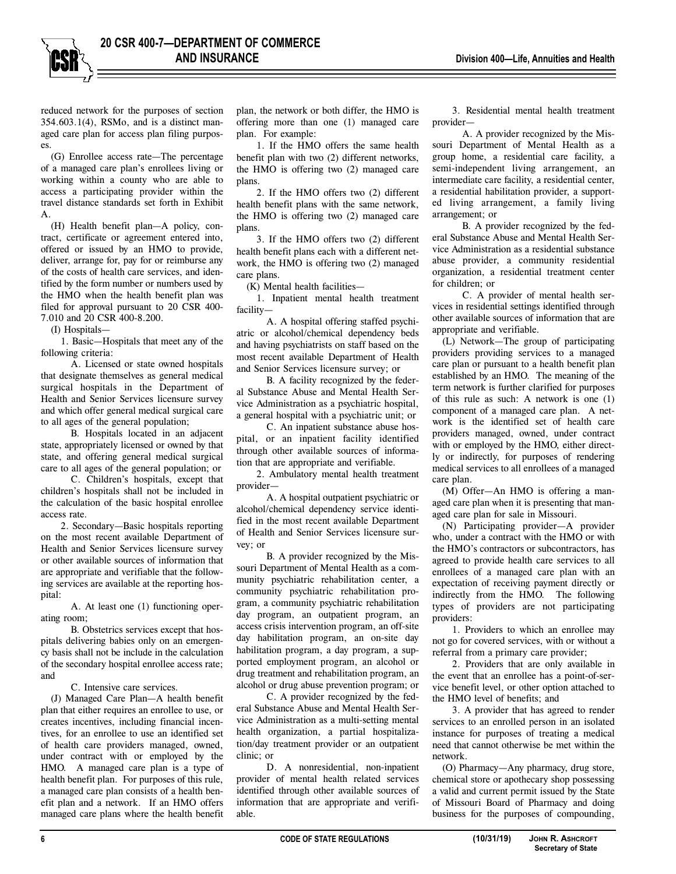reduced network for the purposes of section 354.603.1(4), RSMo, and is a distinct managed care plan for access plan filing purposes.

(G) Enrollee access rate—The percentage of a managed care plan's enrollees living or working within a county who are able to access a participating provider within the travel distance standards set forth in Exhibit A.

(H) Health benefit plan—A policy, contract, certificate or agreement entered into, offered or issued by an HMO to provide, deliver, arrange for, pay for or reimburse any of the costs of health care services, and identified by the form number or numbers used by the HMO when the health benefit plan was filed for approval pursuant to 20 CSR 400- 7.010 and 20 CSR 400-8.200.

(I) Hospitals—

1. Basic—Hospitals that meet any of the following criteria:

A. Licensed or state owned hospitals that designate themselves as general medical surgical hospitals in the Department of Health and Senior Services licensure survey and which offer general medical surgical care to all ages of the general population;

B. Hospitals located in an adjacent state, appropriately licensed or owned by that state, and offering general medical surgical care to all ages of the general population; or

C. Children's hospitals, except that children's hospitals shall not be included in the calculation of the basic hospital enrollee access rate.

2. Secondary—Basic hospitals reporting on the most recent available Department of Health and Senior Services licensure survey or other available sources of information that are appropriate and verifiable that the following services are available at the reporting hospital:

A. At least one (1) functioning operating room;

B. Obstetrics services except that hospitals delivering babies only on an emergency basis shall not be include in the calculation of the secondary hospital enrollee access rate; and

C. Intensive care services.

(J) Managed Care Plan—A health benefit plan that either requires an enrollee to use, or creates incentives, including financial incentives, for an enrollee to use an identified set of health care providers managed, owned, under contract with or employed by the HMO. A managed care plan is a type of health benefit plan. For purposes of this rule, a managed care plan consists of a health benefit plan and a network. If an HMO offers managed care plans where the health benefit

plan, the network or both differ, the HMO is offering more than one (1) managed care plan. For example:

1. If the HMO offers the same health benefit plan with two (2) different networks, the HMO is offering two (2) managed care plans.

2. If the HMO offers two (2) different health benefit plans with the same network, the HMO is offering two (2) managed care plans.

3. If the HMO offers two (2) different health benefit plans each with a different network, the HMO is offering two (2) managed care plans.

(K) Mental health facilities—

1. Inpatient mental health treatment facility—

A. A hospital offering staffed psychiatric or alcohol/chemical dependency beds and having psychiatrists on staff based on the most recent available Department of Health and Senior Services licensure survey; or

B. A facility recognized by the federal Substance Abuse and Mental Health Service Administration as a psychiatric hospital, a general hospital with a psychiatric unit; or

C. An inpatient substance abuse hospital, or an inpatient facility identified through other available sources of information that are appropriate and verifiable.

2. Ambulatory mental health treatment provider—

A. A hospital outpatient psychiatric or alcohol/chemical dependency service identified in the most recent available Department of Health and Senior Services licensure survey; or

B. A provider recognized by the Missouri Department of Mental Health as a community psychiatric rehabilitation center, a community psychiatric rehabilitation program, a community psychiatric rehabilitation day program, an outpatient program, an access crisis intervention program, an off-site day habilitation program, an on-site day habilitation program, a day program, a supported employment program, an alcohol or drug treatment and rehabilitation program, an alcohol or drug abuse prevention program; or

C. A provider recognized by the federal Substance Abuse and Mental Health Service Administration as a multi-setting mental health organization, a partial hospitalization/day treatment provider or an outpatient clinic; or

D. A nonresidential, non-inpatient provider of mental health related services identified through other available sources of information that are appropriate and verifiable.

3. Residential mental health treatment provider—

A. A provider recognized by the Missouri Department of Mental Health as a group home, a residential care facility, a semi-independent living arrangement, an intermediate care facility, a residential center, a residential habilitation provider, a supported living arrangement, a family living arrangement; or

B. A provider recognized by the federal Substance Abuse and Mental Health Service Administration as a residential substance abuse provider, a community residential organization, a residential treatment center for children; or

C. A provider of mental health services in residential settings identified through other available sources of information that are appropriate and verifiable.

(L) Network—The group of participating providers providing services to a managed care plan or pursuant to a health benefit plan established by an HMO. The meaning of the term network is further clarified for purposes of this rule as such: A network is one (1) component of a managed care plan. A network is the identified set of health care providers managed, owned, under contract with or employed by the HMO, either directly or indirectly, for purposes of rendering medical services to all enrollees of a managed care plan.

(M) Offer—An HMO is offering a managed care plan when it is presenting that managed care plan for sale in Missouri.

(N) Participating provider—A provider who, under a contract with the HMO or with the HMO's contractors or subcontractors, has agreed to provide health care services to all enrollees of a managed care plan with an expectation of receiving payment directly or indirectly from the HMO. The following types of providers are not participating providers:

1. Providers to which an enrollee may not go for covered services, with or without a referral from a primary care provider;

2. Providers that are only available in the event that an enrollee has a point-of-service benefit level, or other option attached to the HMO level of benefits; and

3. A provider that has agreed to render services to an enrolled person in an isolated instance for purposes of treating a medical need that cannot otherwise be met within the network.

(O) Pharmacy—Any pharmacy, drug store, chemical store or apothecary shop possessing a valid and current permit issued by the State of Missouri Board of Pharmacy and doing business for the purposes of compounding,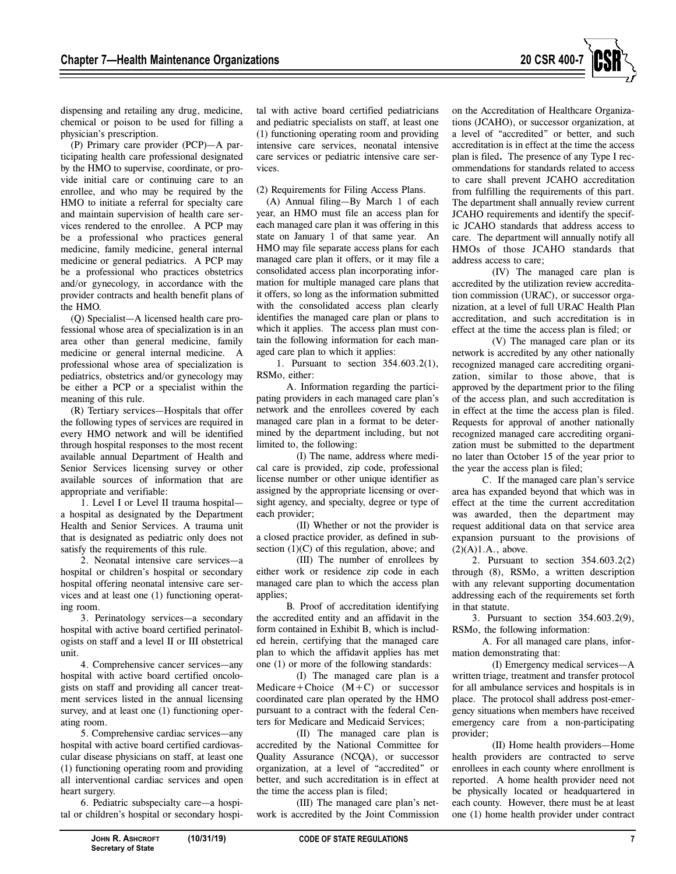

dispensing and retailing any drug, medicine, chemical or poison to be used for filling a physician's prescription.

(P) Primary care provider (PCP)—A participating health care professional designated by the HMO to supervise, coordinate, or provide initial care or continuing care to an enrollee, and who may be required by the HMO to initiate a referral for specialty care and maintain supervision of health care services rendered to the enrollee. A PCP may be a professional who practices general medicine, family medicine, general internal medicine or general pediatrics. A PCP may be a professional who practices obstetrics and/or gynecology, in accordance with the provider contracts and health benefit plans of the HMO.

(Q) Specialist—A licensed health care professional whose area of specialization is in an area other than general medicine, family medicine or general internal medicine. A professional whose area of specialization is pediatrics, obstetrics and/or gynecology may be either a PCP or a specialist within the meaning of this rule.

(R) Tertiary services—Hospitals that offer the following types of services are required in every HMO network and will be identified through hospital responses to the most recent available annual Department of Health and Senior Services licensing survey or other available sources of information that are appropriate and verifiable:

1. Level I or Level II trauma hospital a hospital as designated by the Department Health and Senior Services. A trauma unit that is designated as pediatric only does not satisfy the requirements of this rule.

2. Neonatal intensive care services—a hospital or children's hospital or secondary hospital offering neonatal intensive care services and at least one (1) functioning operating room.

3. Perinatology services—a secondary hospital with active board certified perinatologists on staff and a level II or III obstetrical unit.

4. Comprehensive cancer services—any hospital with active board certified oncologists on staff and providing all cancer treatment services listed in the annual licensing survey, and at least one  $(1)$  functioning operating room.

5. Comprehensive cardiac services—any hospital with active board certified cardiovascular disease physicians on staff, at least one (1) functioning operating room and providing all interventional cardiac services and open heart surgery.

6. Pediatric subspecialty care—a hospital or children's hospital or secondary hospital with active board certified pediatricians and pediatric specialists on staff, at least one (1) functioning operating room and providing intensive care services, neonatal intensive care services or pediatric intensive care services.

(2) Requirements for Filing Access Plans.

(A) Annual filing—By March 1 of each year, an HMO must file an access plan for each managed care plan it was offering in this state on January 1 of that same year. An HMO may file separate access plans for each managed care plan it offers, or it may file a consolidated access plan incorporating information for multiple managed care plans that it offers, so long as the information submitted with the consolidated access plan clearly identifies the managed care plan or plans to which it applies. The access plan must contain the following information for each managed care plan to which it applies:

1. Pursuant to section 354.603.2(1), RSMo, either:

A. Information regarding the participating providers in each managed care plan's network and the enrollees covered by each managed care plan in a format to be determined by the department including, but not limited to, the following:

(I) The name, address where medical care is provided, zip code, professional license number or other unique identifier as assigned by the appropriate licensing or oversight agency, and specialty, degree or type of each provider;

(II) Whether or not the provider is a closed practice provider, as defined in subsection  $(1)(C)$  of this regulation, above; and

(III) The number of enrollees by either work or residence zip code in each managed care plan to which the access plan applies;

B. Proof of accreditation identifying the accredited entity and an affidavit in the form contained in Exhibit B, which is included herein, certifying that the managed care plan to which the affidavit applies has met one (1) or more of the following standards:

(I) The managed care plan is a  $Medicare+Choice (M+C)$  or successor coordinated care plan operated by the HMO pursuant to a contract with the federal Centers for Medicare and Medicaid Services;

(II) The managed care plan is accredited by the National Committee for Quality Assurance (NCQA), or successor organization, at a level of "accredited" or better, and such accreditation is in effect at the time the access plan is filed;

(III) The managed care plan's network is accredited by the Joint Commission on the Accreditation of Healthcare Organizations (JCAHO), or successor organization, at a level of "accredited" or better, and such accreditation is in effect at the time the access plan is filed**.** The presence of any Type I recommendations for standards related to access to care shall prevent JCAHO accreditation from fulfilling the requirements of this part. The department shall annually review current JCAHO requirements and identify the specific JCAHO standards that address access to care. The department will annually notify all HMOs of those JCAHO standards that address access to care;

(IV) The managed care plan is accredited by the utilization review accreditation commission (URAC), or successor organization, at a level of full URAC Health Plan accreditation, and such accreditation is in effect at the time the access plan is filed; or

(V) The managed care plan or its network is accredited by any other nationally recognized managed care accrediting organization, similar to those above, that is approved by the department prior to the filing of the access plan, and such accreditation is in effect at the time the access plan is filed. Requests for approval of another nationally recognized managed care accrediting organization must be submitted to the department no later than October 15 of the year prior to the year the access plan is filed;

C. If the managed care plan's service area has expanded beyond that which was in effect at the time the current accreditation was awarded, then the department may request additional data on that service area expansion pursuant to the provisions of  $(2)(A)1.A.,$  above.

2. Pursuant to section 354.603.2(2) through (8), RSMo, a written description with any relevant supporting documentation addressing each of the requirements set forth in that statute.

3. Pursuant to section 354.603.2(9), RSMo, the following information:

A. For all managed care plans, information demonstrating that:

(I) Emergency medical services—A written triage, treatment and transfer protocol for all ambulance services and hospitals is in place. The protocol shall address post-emergency situations when members have received emergency care from a non-participating provider;

(II) Home health providers—Home health providers are contracted to serve enrollees in each county where enrollment is reported. A home health provider need not be physically located or headquartered in each county. However, there must be at least one (1) home health provider under contract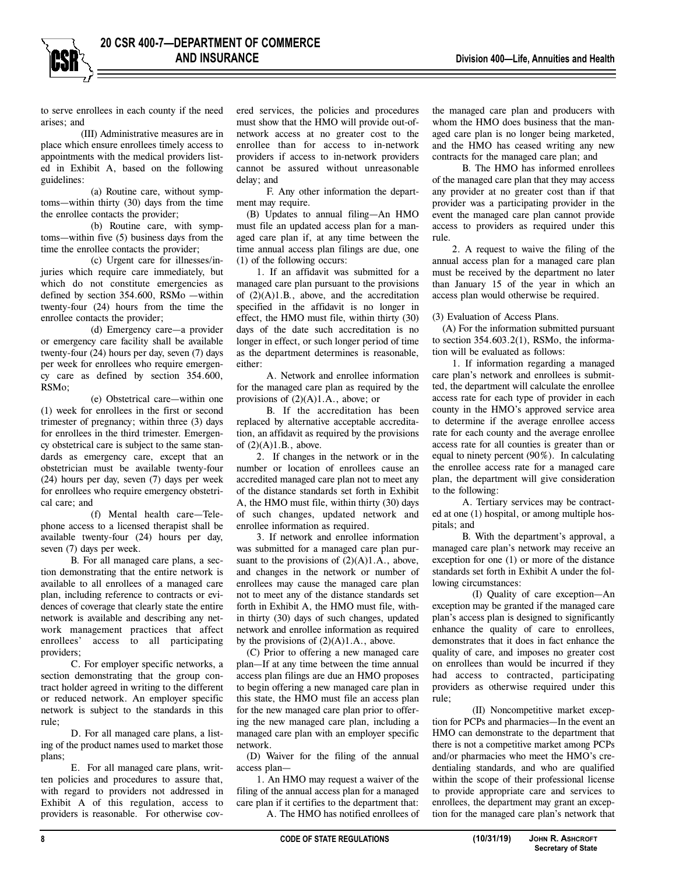to serve enrollees in each county if the need arises; and

(III) Administrative measures are in place which ensure enrollees timely access to appointments with the medical providers listed in Exhibit A, based on the following guidelines:

(a) Routine care, without symptoms—within thirty (30) days from the time the enrollee contacts the provider;

(b) Routine care, with symptoms—within five (5) business days from the time the enrollee contacts the provider;

(c) Urgent care for illnesses/injuries which require care immediately, but which do not constitute emergencies as defined by section 354.600, RSMo —within twenty-four (24) hours from the time the enrollee contacts the provider;

(d) Emergency care—a provider or emergency care facility shall be available twenty-four (24) hours per day, seven (7) days per week for enrollees who require emergency care as defined by section 354.600, RSMo;

(e) Obstetrical care—within one (1) week for enrollees in the first or second trimester of pregnancy; within three (3) days for enrollees in the third trimester. Emergency obstetrical care is subject to the same standards as emergency care, except that an obstetrician must be available twenty-four (24) hours per day, seven (7) days per week for enrollees who require emergency obstetrical care; and

(f) Mental health care—Telephone access to a licensed therapist shall be available twenty-four (24) hours per day, seven (7) days per week.

B. For all managed care plans, a section demonstrating that the entire network is available to all enrollees of a managed care plan, including reference to contracts or evidences of coverage that clearly state the entire network is available and describing any network management practices that affect enrollees' access to all participating providers;

C. For employer specific networks, a section demonstrating that the group contract holder agreed in writing to the different or reduced network. An employer specific network is subject to the standards in this rule;

D. For all managed care plans, a listing of the product names used to market those plans;

E. For all managed care plans, written policies and procedures to assure that, with regard to providers not addressed in Exhibit A of this regulation, access to providers is reasonable. For otherwise covered services, the policies and procedures must show that the HMO will provide out-ofnetwork access at no greater cost to the enrollee than for access to in-network providers if access to in-network providers cannot be assured without unreasonable delay; and

F. Any other information the department may require.

(B) Updates to annual filing—An HMO must file an updated access plan for a managed care plan if, at any time between the time annual access plan filings are due, one (1) of the following occurs:

1. If an affidavit was submitted for a managed care plan pursuant to the provisions of (2)(A)1.B., above, and the accreditation specified in the affidavit is no longer in effect, the HMO must file, within thirty (30) days of the date such accreditation is no longer in effect, or such longer period of time as the department determines is reasonable, either:

A. Network and enrollee information for the managed care plan as required by the provisions of  $(2)(A)1.A.,$  above; or

B. If the accreditation has been replaced by alternative acceptable accreditation, an affidavit as required by the provisions of  $(2)(A)1.B.,$  above.

2. If changes in the network or in the number or location of enrollees cause an accredited managed care plan not to meet any of the distance standards set forth in Exhibit A, the HMO must file, within thirty (30) days of such changes, updated network and enrollee information as required.

3. If network and enrollee information was submitted for a managed care plan pursuant to the provisions of  $(2)(A)1.A.$ , above, and changes in the network or number of enrollees may cause the managed care plan not to meet any of the distance standards set forth in Exhibit A, the HMO must file, within thirty (30) days of such changes, updated network and enrollee information as required by the provisions of  $(2)(A)1.A.,$  above.

(C) Prior to offering a new managed care plan—If at any time between the time annual access plan filings are due an HMO proposes to begin offering a new managed care plan in this state, the HMO must file an access plan for the new managed care plan prior to offering the new managed care plan, including a managed care plan with an employer specific network.

(D) Waiver for the filing of the annual access plan—

1. An HMO may request a waiver of the filing of the annual access plan for a managed care plan if it certifies to the department that:

A. The HMO has notified enrollees of

the managed care plan and producers with whom the HMO does business that the managed care plan is no longer being marketed, and the HMO has ceased writing any new contracts for the managed care plan; and

B. The HMO has informed enrollees of the managed care plan that they may access any provider at no greater cost than if that provider was a participating provider in the event the managed care plan cannot provide access to providers as required under this rule.

2. A request to waive the filing of the annual access plan for a managed care plan must be received by the department no later than January 15 of the year in which an access plan would otherwise be required.

(3) Evaluation of Access Plans.

(A) For the information submitted pursuant to section  $354.603.2(1)$ , RSMo, the information will be evaluated as follows:

1. If information regarding a managed care plan's network and enrollees is submitted, the department will calculate the enrollee access rate for each type of provider in each county in the HMO's approved service area to determine if the average enrollee access rate for each county and the average enrollee access rate for all counties is greater than or equal to ninety percent (90%). In calculating the enrollee access rate for a managed care plan, the department will give consideration to the following:

A. Tertiary services may be contracted at one (1) hospital, or among multiple hospitals; and

B. With the department's approval, a managed care plan's network may receive an exception for one (1) or more of the distance standards set forth in Exhibit A under the following circumstances:

(I) Quality of care exception—An exception may be granted if the managed care plan's access plan is designed to significantly enhance the quality of care to enrollees, demonstrates that it does in fact enhance the quality of care, and imposes no greater cost on enrollees than would be incurred if they had access to contracted, participating providers as otherwise required under this rule;

(II) Noncompetitive market exception for PCPs and pharmacies—In the event an HMO can demonstrate to the department that there is not a competitive market among PCPs and/or pharmacies who meet the HMO's credentialing standards, and who are qualified within the scope of their professional license to provide appropriate care and services to enrollees, the department may grant an exception for the managed care plan's network that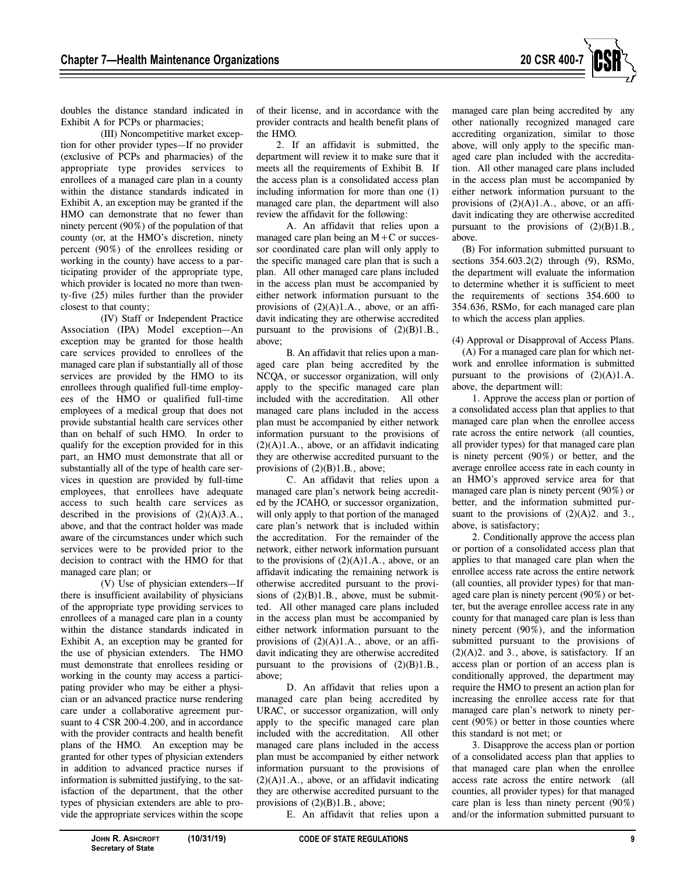

doubles the distance standard indicated in Exhibit A for PCPs or pharmacies;

(III) Noncompetitive market exception for other provider types—If no provider (exclusive of PCPs and pharmacies) of the appropriate type provides services to enrollees of a managed care plan in a county within the distance standards indicated in Exhibit A, an exception may be granted if the HMO can demonstrate that no fewer than ninety percent (90%) of the population of that county (or, at the HMO's discretion, ninety percent (90%) of the enrollees residing or working in the county) have access to a participating provider of the appropriate type, which provider is located no more than twenty-five (25) miles further than the provider closest to that county;

(IV) Staff or Independent Practice Association (IPA) Model exception—An exception may be granted for those health care services provided to enrollees of the managed care plan if substantially all of those services are provided by the HMO to its enrollees through qualified full-time employees of the HMO or qualified full-time employees of a medical group that does not provide substantial health care services other than on behalf of such HMO. In order to qualify for the exception provided for in this part, an HMO must demonstrate that all or substantially all of the type of health care services in question are provided by full-time employees, that enrollees have adequate access to such health care services as described in the provisions of  $(2)(A)3.A.,$ above, and that the contract holder was made aware of the circumstances under which such services were to be provided prior to the decision to contract with the HMO for that managed care plan; or

(V) Use of physician extenders—If there is insufficient availability of physicians of the appropriate type providing services to enrollees of a managed care plan in a county within the distance standards indicated in Exhibit A, an exception may be granted for the use of physician extenders. The HMO must demonstrate that enrollees residing or working in the county may access a participating provider who may be either a physician or an advanced practice nurse rendering care under a collaborative agreement pursuant to 4 CSR 200-4.200, and in accordance with the provider contracts and health benefit plans of the HMO. An exception may be granted for other types of physician extenders in addition to advanced practice nurses if information is submitted justifying, to the satisfaction of the department, that the other types of physician extenders are able to provide the appropriate services within the scope

of their license, and in accordance with the provider contracts and health benefit plans of the HMO.

2. If an affidavit is submitted, the department will review it to make sure that it meets all the requirements of Exhibit B. If the access plan is a consolidated access plan including information for more than one (1) managed care plan, the department will also review the affidavit for the following:

A. An affidavit that relies upon a managed care plan being an  $M+C$  or successor coordinated care plan will only apply to the specific managed care plan that is such a plan. All other managed care plans included in the access plan must be accompanied by either network information pursuant to the provisions of (2)(A)1.A., above, or an affidavit indicating they are otherwise accredited pursuant to the provisions of  $(2)(B)1.B.,$ above;

B. An affidavit that relies upon a managed care plan being accredited by the NCQA, or successor organization, will only apply to the specific managed care plan included with the accreditation. All other managed care plans included in the access plan must be accompanied by either network information pursuant to the provisions of  $(2)(A)1.A.,$  above, or an affidavit indicating they are otherwise accredited pursuant to the provisions of (2)(B)1.B., above;

C. An affidavit that relies upon a managed care plan's network being accredited by the JCAHO, or successor organization, will only apply to that portion of the managed care plan's network that is included within the accreditation. For the remainder of the network, either network information pursuant to the provisions of  $(2)(A)1.A.,$  above, or an affidavit indicating the remaining network is otherwise accredited pursuant to the provisions of  $(2)(B)1.B.,$  above, must be submitted. All other managed care plans included in the access plan must be accompanied by either network information pursuant to the provisions of  $(2)(A)1.A.$ , above, or an affidavit indicating they are otherwise accredited pursuant to the provisions of  $(2)(B)1.B.,$ above;

D. An affidavit that relies upon a managed care plan being accredited by URAC, or successor organization, will only apply to the specific managed care plan included with the accreditation. All other managed care plans included in the access plan must be accompanied by either network information pursuant to the provisions of  $(2)(A)1.A.,$  above, or an affidavit indicating they are otherwise accredited pursuant to the provisions of (2)(B)1.B., above;

E. An affidavit that relies upon a

managed care plan being accredited by any other nationally recognized managed care accrediting organization, similar to those above, will only apply to the specific managed care plan included with the accreditation. All other managed care plans included in the access plan must be accompanied by either network information pursuant to the provisions of  $(2)(A)1.A.,$  above, or an affidavit indicating they are otherwise accredited pursuant to the provisions of  $(2)(B)1.B.,$ above.

(B) For information submitted pursuant to sections 354.603.2(2) through (9), RSMo, the department will evaluate the information to determine whether it is sufficient to meet the requirements of sections 354.600 to 354.636, RSMo, for each managed care plan to which the access plan applies.

#### (4) Approval or Disapproval of Access Plans.

(A) For a managed care plan for which network and enrollee information is submitted pursuant to the provisions of  $(2)(A)1.A$ . above, the department will:

1. Approve the access plan or portion of a consolidated access plan that applies to that managed care plan when the enrollee access rate across the entire network (all counties, all provider types) for that managed care plan is ninety percent (90%) or better, and the average enrollee access rate in each county in an HMO's approved service area for that managed care plan is ninety percent (90%) or better, and the information submitted pursuant to the provisions of  $(2)(A)2$ . and 3., above, is satisfactory;

2. Conditionally approve the access plan or portion of a consolidated access plan that applies to that managed care plan when the enrollee access rate across the entire network (all counties, all provider types) for that managed care plan is ninety percent (90%) or better, but the average enrollee access rate in any county for that managed care plan is less than ninety percent (90%), and the information submitted pursuant to the provisions of  $(2)(A)2$ . and 3., above, is satisfactory. If an access plan or portion of an access plan is conditionally approved, the department may require the HMO to present an action plan for increasing the enrollee access rate for that managed care plan's network to ninety percent (90%) or better in those counties where this standard is not met; or

3. Disapprove the access plan or portion of a consolidated access plan that applies to that managed care plan when the enrollee access rate across the entire network (all counties, all provider types) for that managed care plan is less than ninety percent (90%) and/or the information submitted pursuant to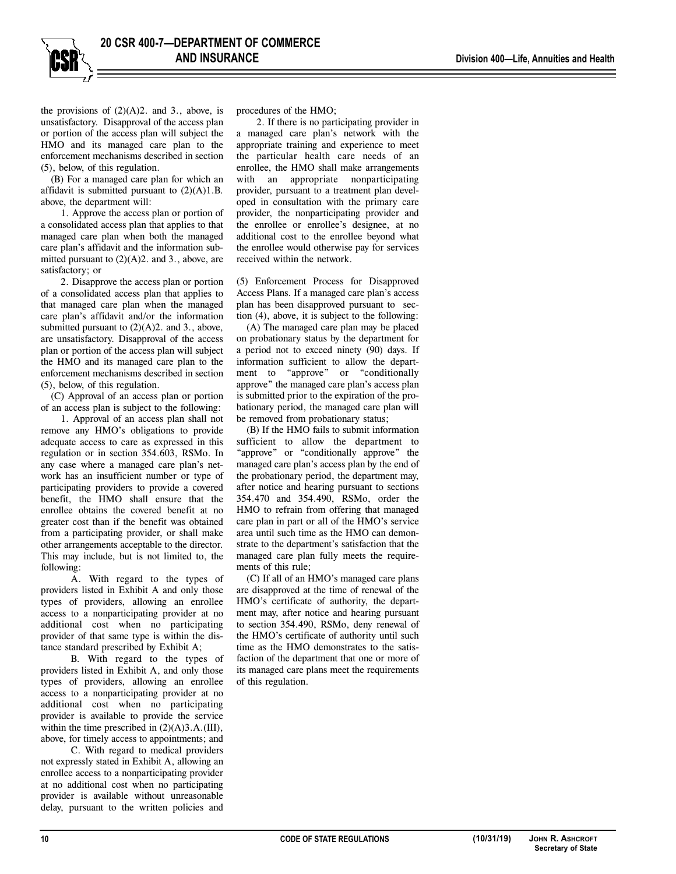the provisions of  $(2)(A)2$ . and 3., above, is unsatisfactory. Disapproval of the access plan or portion of the access plan will subject the HMO and its managed care plan to the enforcement mechanisms described in section (5), below, of this regulation.

(B) For a managed care plan for which an affidavit is submitted pursuant to  $(2)(A)1.B.$ above, the department will:

1. Approve the access plan or portion of a consolidated access plan that applies to that managed care plan when both the managed care plan's affidavit and the information submitted pursuant to  $(2)(A)2$ . and 3., above, are satisfactory; or

2. Disapprove the access plan or portion of a consolidated access plan that applies to that managed care plan when the managed care plan's affidavit and/or the information submitted pursuant to (2)(A)2. and 3., above, are unsatisfactory. Disapproval of the access plan or portion of the access plan will subject the HMO and its managed care plan to the enforcement mechanisms described in section (5), below, of this regulation.

(C) Approval of an access plan or portion of an access plan is subject to the following:

1. Approval of an access plan shall not remove any HMO's obligations to provide adequate access to care as expressed in this regulation or in section 354.603, RSMo. In any case where a managed care plan's network has an insufficient number or type of participating providers to provide a covered benefit, the HMO shall ensure that the enrollee obtains the covered benefit at no greater cost than if the benefit was obtained from a participating provider, or shall make other arrangements acceptable to the director. This may include, but is not limited to, the following:

A. With regard to the types of providers listed in Exhibit A and only those types of providers, allowing an enrollee access to a nonparticipating provider at no additional cost when no participating provider of that same type is within the distance standard prescribed by Exhibit A;

B. With regard to the types of providers listed in Exhibit A, and only those types of providers, allowing an enrollee access to a nonparticipating provider at no additional cost when no participating provider is available to provide the service within the time prescribed in  $(2)(A)3.A.(III)$ , above, for timely access to appointments; and

C. With regard to medical providers not expressly stated in Exhibit A, allowing an enrollee access to a nonparticipating provider at no additional cost when no participating provider is available without unreasonable delay, pursuant to the written policies and

procedures of the HMO;

2. If there is no participating provider in a managed care plan's network with the appropriate training and experience to meet the particular health care needs of an enrollee, the HMO shall make arrangements with an appropriate nonparticipating provider, pursuant to a treatment plan developed in consultation with the primary care provider, the nonparticipating provider and the enrollee or enrollee's designee, at no additional cost to the enrollee beyond what the enrollee would otherwise pay for services received within the network.

(5) Enforcement Process for Disapproved Access Plans. If a managed care plan's access plan has been disapproved pursuant to section (4), above, it is subject to the following:

(A) The managed care plan may be placed on probationary status by the department for a period not to exceed ninety (90) days. If information sufficient to allow the department to "approve" or "conditionally approve" the managed care plan's access plan is submitted prior to the expiration of the probationary period, the managed care plan will be removed from probationary status;

(B) If the HMO fails to submit information sufficient to allow the department to "approve" or "conditionally approve" the managed care plan's access plan by the end of the probationary period, the department may, after notice and hearing pursuant to sections 354.470 and 354.490, RSMo, order the HMO to refrain from offering that managed care plan in part or all of the HMO's service area until such time as the HMO can demonstrate to the department's satisfaction that the managed care plan fully meets the requirements of this rule;

(C) If all of an HMO's managed care plans are disapproved at the time of renewal of the HMO's certificate of authority, the department may, after notice and hearing pursuant to section 354.490, RSMo, deny renewal of the HMO's certificate of authority until such time as the HMO demonstrates to the satisfaction of the department that one or more of its managed care plans meet the requirements of this regulation.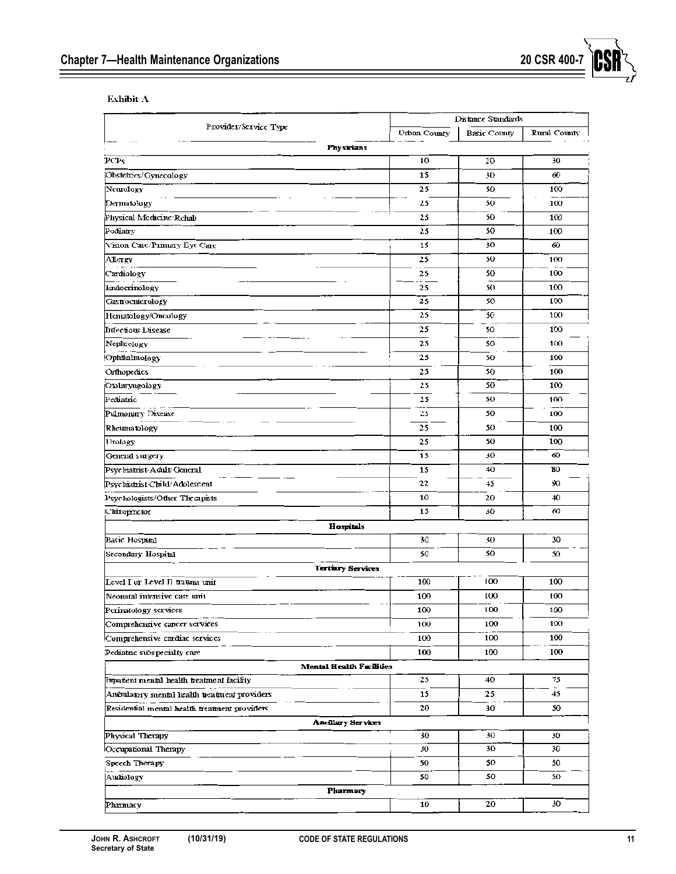Exhibit  $\Lambda$ 

|                                               | Distance Standards |              |              |  |  |  |
|-----------------------------------------------|--------------------|--------------|--------------|--|--|--|
| Provider/Service Type                         | Urban County       | Basic County | Rural County |  |  |  |
| <b>Physicians</b>                             |                    |              |              |  |  |  |
| PCPs                                          | 10                 | 20           | 30           |  |  |  |
| Obstetrics/Gynecology                         | 15                 | 30           | 60           |  |  |  |
| Ncurology                                     | 25                 | 50           | 100          |  |  |  |
| Dermatology                                   | 25                 | 50           | 100          |  |  |  |
| Physical Medicine Rehab                       | 25                 | 50           | 100          |  |  |  |
| Podiatry                                      | 25                 | 50           | 100          |  |  |  |
| Vision Care/Primary Eye Care                  | 15                 | 30           | 60           |  |  |  |
| Аћстеу                                        | 25                 | 50           | 100          |  |  |  |
| Cardiology                                    | 25                 | 50           | 100          |  |  |  |
| Endocrinology                                 | 25                 | 50           | 100          |  |  |  |
| Gastrocnicrology                              | 25                 | 50           | 100          |  |  |  |
| Hematology/Oncology                           | 25                 | 50           | 100          |  |  |  |
| <b>Infectious Disease</b>                     | 25                 | 50           | 100          |  |  |  |
| Nepluplogy                                    | 25                 | 50           | 100          |  |  |  |
| Ophilialmology                                | 25                 | 50           | 100          |  |  |  |
| Orthopedics                                   | 25                 | 50           | 100          |  |  |  |
| Otolaryugology                                | 25                 | 50           | 100          |  |  |  |
| Pediatric                                     | 25                 | 50           | 100          |  |  |  |
| Pulmonary Disease                             | 25                 | 50           | 100          |  |  |  |
| Rheumatology                                  | 25                 | 50           | 100          |  |  |  |
| Unology                                       | 25                 | 50           | 100          |  |  |  |
| General surgery                               | 15                 | 30           | 60           |  |  |  |
| Psychiatrist-Adult/General                    | 15                 | 40           | 80           |  |  |  |
| Psychiatrist-Child/Adolescent                 | 22                 | 45           | 9O           |  |  |  |
| Psychologists/Other Therapists                | 10                 | 20           | 40           |  |  |  |
| <b>Chiropmetor</b>                            | 15                 | 30           | 60           |  |  |  |
| Hospitals                                     |                    |              |              |  |  |  |
| Basic Hospital                                | 30                 | 30           | 30           |  |  |  |
| Secondary Hospital                            | 50                 | 50           | 50           |  |  |  |
| Tertiary Services                             |                    |              |              |  |  |  |
| Level I or Level II trauma unit               | 100                | 100          | 100          |  |  |  |
| Neonatal intensive care unit                  | 100                | 100          | 100          |  |  |  |
| Perinatology services                         | 100                | 100          | 100          |  |  |  |
| Comprehensive cancer services                 | 100                | 100          | 100          |  |  |  |
| Comprehensive cardiac services                | 100                | 100          | 100          |  |  |  |
| Pediatric subspecialty care                   | 100                | 100          | 100          |  |  |  |
| Mental Health Facilities                      |                    |              |              |  |  |  |
| Imputient mental health treatment facility    | 25                 | 40           | 75           |  |  |  |
| Ambulatory mental health treatment providers  | 15                 | 25           | 45           |  |  |  |
| Residential mental health treatment providers | 20                 | 30           | 50           |  |  |  |
| Ancillary Services                            |                    |              |              |  |  |  |
| Physical Therapy                              | 30                 | 30           | 30           |  |  |  |
| Occupational Therapy                          | 30                 | 30           | 30           |  |  |  |
| Speech Therapy                                | 50                 | 50           | 50           |  |  |  |
| Audiology                                     | 50                 | 50           | 50           |  |  |  |
| Pharmacy                                      |                    |              |              |  |  |  |
| Pharmacy                                      | 10                 | 20           | 30           |  |  |  |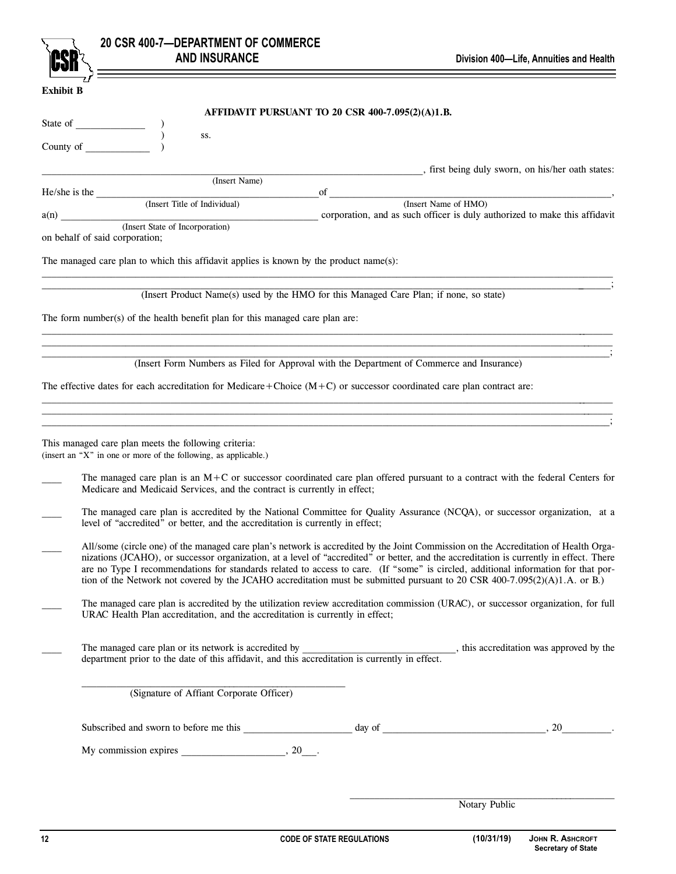|                  |                                                                                                                         | 20 CSR 400-7-DEPARTMENT OF COMMERCE<br><b>AND INSURANCE</b>                            |                                                                                                                         | Division 400-Life, Annuities and Health                                                                                                                                                                                                                                                                                                                                                                                                                                                                                                            |
|------------------|-------------------------------------------------------------------------------------------------------------------------|----------------------------------------------------------------------------------------|-------------------------------------------------------------------------------------------------------------------------|----------------------------------------------------------------------------------------------------------------------------------------------------------------------------------------------------------------------------------------------------------------------------------------------------------------------------------------------------------------------------------------------------------------------------------------------------------------------------------------------------------------------------------------------------|
| <b>Exhibit B</b> |                                                                                                                         |                                                                                        |                                                                                                                         |                                                                                                                                                                                                                                                                                                                                                                                                                                                                                                                                                    |
|                  |                                                                                                                         |                                                                                        | AFFIDAVIT PURSUANT TO 20 CSR 400-7.095(2)(A)1.B.                                                                        |                                                                                                                                                                                                                                                                                                                                                                                                                                                                                                                                                    |
|                  |                                                                                                                         | SS.                                                                                    |                                                                                                                         |                                                                                                                                                                                                                                                                                                                                                                                                                                                                                                                                                    |
|                  | County of $\overline{\phantom{a}}$                                                                                      |                                                                                        |                                                                                                                         |                                                                                                                                                                                                                                                                                                                                                                                                                                                                                                                                                    |
|                  |                                                                                                                         | (Insert Name)                                                                          |                                                                                                                         | , first being duly sworn, on his/her oath states:                                                                                                                                                                                                                                                                                                                                                                                                                                                                                                  |
|                  |                                                                                                                         |                                                                                        | $\circ$ f                                                                                                               | (Insert Name of HMO)                                                                                                                                                                                                                                                                                                                                                                                                                                                                                                                               |
|                  | a(n)<br>on behalf of said corporation;                                                                                  | (Insert State of Incorporation)                                                        |                                                                                                                         | corporation, and as such officer is duly authorized to make this affidavit                                                                                                                                                                                                                                                                                                                                                                                                                                                                         |
|                  |                                                                                                                         | The managed care plan to which this affidavit applies is known by the product name(s): |                                                                                                                         |                                                                                                                                                                                                                                                                                                                                                                                                                                                                                                                                                    |
|                  |                                                                                                                         |                                                                                        | (Insert Product Name(s) used by the HMO for this Managed Care Plan; if none, so state)                                  |                                                                                                                                                                                                                                                                                                                                                                                                                                                                                                                                                    |
|                  |                                                                                                                         | The form number(s) of the health benefit plan for this managed care plan are:          |                                                                                                                         |                                                                                                                                                                                                                                                                                                                                                                                                                                                                                                                                                    |
|                  |                                                                                                                         |                                                                                        | (Insert Form Numbers as Filed for Approval with the Department of Commerce and Insurance)                               |                                                                                                                                                                                                                                                                                                                                                                                                                                                                                                                                                    |
|                  |                                                                                                                         |                                                                                        | The effective dates for each accreditation for Medicare+Choice $(M+C)$ or successor coordinated care plan contract are: |                                                                                                                                                                                                                                                                                                                                                                                                                                                                                                                                                    |
|                  |                                                                                                                         |                                                                                        |                                                                                                                         |                                                                                                                                                                                                                                                                                                                                                                                                                                                                                                                                                    |
|                  | This managed care plan meets the following criteria:<br>(insert an "X" in one or more of the following, as applicable.) |                                                                                        |                                                                                                                         |                                                                                                                                                                                                                                                                                                                                                                                                                                                                                                                                                    |
|                  |                                                                                                                         | Medicare and Medicaid Services, and the contract is currently in effect;               |                                                                                                                         | The managed care plan is an $M+C$ or successor coordinated care plan offered pursuant to a contract with the federal Centers for                                                                                                                                                                                                                                                                                                                                                                                                                   |
|                  |                                                                                                                         | level of "accredited" or better, and the accreditation is currently in effect;         |                                                                                                                         | The managed care plan is accredited by the National Committee for Quality Assurance (NCQA), or successor organization, at a                                                                                                                                                                                                                                                                                                                                                                                                                        |
|                  |                                                                                                                         |                                                                                        |                                                                                                                         | All/some (circle one) of the managed care plan's network is accredited by the Joint Commission on the Accreditation of Health Orga-<br>nizations (JCAHO), or successor organization, at a level of "accredited" or better, and the accreditation is currently in effect. There<br>are no Type I recommendations for standards related to access to care. (If "some" is circled, additional information for that por-<br>tion of the Network not covered by the JCAHO accreditation must be submitted pursuant to 20 CSR 400-7.095(2)(A)1.A. or B.) |
|                  |                                                                                                                         | URAC Health Plan accreditation, and the accreditation is currently in effect;          |                                                                                                                         | The managed care plan is accredited by the utilization review accreditation commission (URAC), or successor organization, for full                                                                                                                                                                                                                                                                                                                                                                                                                 |
|                  |                                                                                                                         |                                                                                        |                                                                                                                         |                                                                                                                                                                                                                                                                                                                                                                                                                                                                                                                                                    |
|                  |                                                                                                                         | (Signature of Affiant Corporate Officer)                                               |                                                                                                                         |                                                                                                                                                                                                                                                                                                                                                                                                                                                                                                                                                    |
|                  |                                                                                                                         |                                                                                        |                                                                                                                         |                                                                                                                                                                                                                                                                                                                                                                                                                                                                                                                                                    |
|                  |                                                                                                                         |                                                                                        |                                                                                                                         |                                                                                                                                                                                                                                                                                                                                                                                                                                                                                                                                                    |
|                  |                                                                                                                         |                                                                                        |                                                                                                                         |                                                                                                                                                                                                                                                                                                                                                                                                                                                                                                                                                    |

Notary Public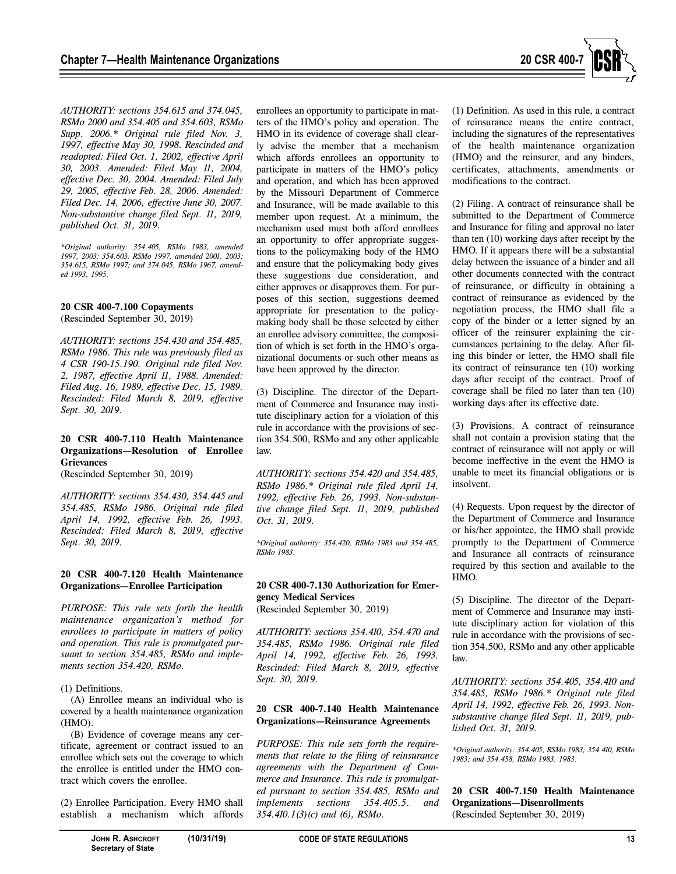

*AUTHORITY: sections 354.615 and 374.045, RSMo 2000 and 354.405 and 354.603, RSMo Supp. 2006.\* Original rule filed Nov. 3, 1997, effective May 30, 1998. Rescinded and readopted: Filed Oct. 1, 2002, effective April 30, 2003. Amended: Filed May 11, 2004, effective Dec. 30, 2004. Amended: Filed July 29, 2005, effective Feb. 28, 2006. Amended: Filed Dec. 14, 2006, effective June 30, 2007. Non-substantive change filed Sept. 11, 2019, published Oct. 31, 2019.* 

*\*Original authority: 354.405, RSMo 1983, amended 1997, 2003; 354.603, RSMo 1997, amended 2001, 2003; 354.615, RSMo 1997; and 374.045, RSMo 1967, amended 1993, 1995.* 

**20 CSR 400-7.100 Copayments**  (Rescinded September 30, 2019)

*AUTHORITY: sections 354.430 and 354.485, RSMo 1986. This rule was previously filed as 4 CSR 190-15.190. Original rule filed Nov. 2, 1987, effective April 11, 1988. Amended: Filed Aug. 16, 1989, effective Dec. 15, 1989. Rescinded: Filed March 8, 2019, effective Sept. 30, 2019.* 

#### **20 CSR 400-7.110 Health Maintenance Organizations—Resolution of Enrollee Grievances**

(Rescinded September 30, 2019)

*AUTHORITY: sections 354.430, 354.445 and 354.485, RSMo 1986. Original rule filed April 14, 1992, effective Feb. 26, 1993. Rescinded: Filed March 8, 2019, effective Sept. 30, 2019.* 

#### **20 CSR 400-7.120 Health Maintenance Organizations—Enrollee Participation**

*PURPOSE: This rule sets forth the health maintenance organization's method for enrollees to participate in matters of policy and operation. This rule is promulgated pursuant to section 354.485, RSMo and implements section 354.420, RSMo.* 

#### (1) Definitions.

(A) Enrollee means an individual who is covered by a health maintenance organization (HMO).

(B) Evidence of coverage means any certificate, agreement or contract issued to an enrollee which sets out the coverage to which the enrollee is entitled under the HMO contract which covers the enrollee.

(2) Enrollee Participation. Every HMO shall establish a mechanism which affords enrollees an opportunity to participate in matters of the HMO's policy and operation. The HMO in its evidence of coverage shall clearly advise the member that a mechanism which affords enrollees an opportunity to participate in matters of the HMO's policy and operation, and which has been approved by the Missouri Department of Commerce and Insurance, will be made available to this member upon request. At a minimum, the mechanism used must both afford enrollees an opportunity to offer appropriate suggestions to the policymaking body of the HMO and ensure that the policymaking body gives these suggestions due consideration, and either approves or disapproves them. For purposes of this section, suggestions deemed appropriate for presentation to the policymaking body shall be those selected by either an enrollee advisory committee, the composition of which is set forth in the HMO's organizational documents or such other means as have been approved by the director.

(3) Discipline. The director of the Department of Commerce and Insurance may institute disciplinary action for a violation of this rule in accordance with the provisions of section 354.500, RSMo and any other applicable law.

*AUTHORITY: sections 354.420 and 354.485, RSMo 1986.\* Original rule filed April 14, 1992, effective Feb. 26, 1993. Non-substantive change filed Sept. 11, 2019, published Oct. 31, 2019.* 

*\*Original authority: 354.420, RSMo 1983 and 354.485, RSMo 1983.* 

#### **20 CSR 400-7.130 Authorization for Emergency Medical Services**  (Rescinded September 30, 2019)

*AUTHORITY: sections 354.410, 354.470 and 354.485, RSMo 1986. Original rule filed April 14, 1992, effective Feb. 26, 1993. Rescinded: Filed March 8, 2019, effective Sept. 30, 2019.* 

#### **20 CSR 400-7.140 Health Maintenance Organizations—Reinsurance Agreements**

*PURPOSE: This rule sets forth the requirements that relate to the filing of reinsurance agreements with the Department of Commerce and Insurance. This rule is promulgated pursuant to section 354.485, RSMo and implements sections 354.405.5. and 354.410.1(3)(c) and (6), RSMo.* 

(1) Definition. As used in this rule, a contract of reinsurance means the entire contract, including the signatures of the representatives of the health maintenance organization (HMO) and the reinsurer, and any binders, certificates, attachments, amendments or modifications to the contract.

(2) Filing. A contract of reinsurance shall be submitted to the Department of Commerce and Insurance for filing and approval no later than ten (10) working days after receipt by the HMO. If it appears there will be a substantial delay between the issuance of a binder and all other documents connected with the contract of reinsurance, or difficulty in obtaining a contract of reinsurance as evidenced by the negotiation process, the HMO shall file a copy of the binder or a letter signed by an officer of the reinsurer explaining the circumstances pertaining to the delay. After filing this binder or letter, the HMO shall file its contract of reinsurance ten (10) working days after receipt of the contract. Proof of coverage shall be filed no later than ten (10) working days after its effective date.

(3) Provisions. A contract of reinsurance shall not contain a provision stating that the contract of reinsurance will not apply or will become ineffective in the event the HMO is unable to meet its financial obligations or is insolvent.

(4) Requests. Upon request by the director of the Department of Commerce and Insurance or his/her appointee, the HMO shall provide promptly to the Department of Commerce and Insurance all contracts of reinsurance required by this section and available to the HMO.

(5) Discipline. The director of the Department of Commerce and Insurance may institute disciplinary action for violation of this rule in accordance with the provisions of section 354.500, RSMo and any other applicable law.

*AUTHORITY: sections 354.405, 354.410 and 354.485, RSMo 1986.\* Original rule filed April 14, 1992, effective Feb. 26, 1993. Nonsubstantive change filed Sept. 11, 2019, published Oct. 31, 2019.* 

*\*Original authority: 354.405, RSMo 1983; 354.410, RSMo 1983; and 354.458, RSMo 1983. 1983.* 

#### **20 CSR 400-7.150 Health Maintenance Organizations—Disenrollments**  (Rescinded September 30, 2019)